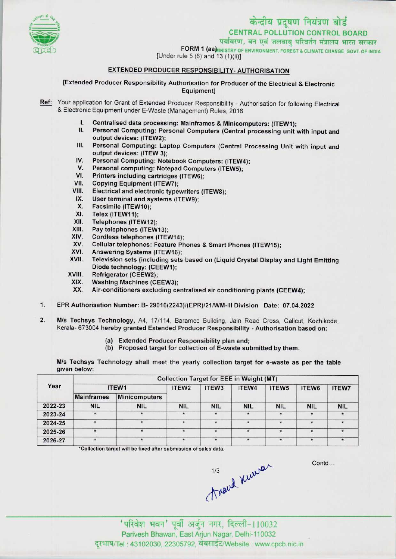

# केन्द्रीय प्रदूषण नियंत्रण बोर्ड

CENTRAL POLLUTION CONTROL BOARD<br>पर्यावरण, वन एवं जलवायु परिवर्तन मंत्रालय भारत सरकार

पथावरण, वन एव जलवायु पारवतन मन्नालय भारत सरक<br>FORM 1 (aa) INSTRY OF ENVIRONMENT, FOREST & CLIMATE CHANGE GOVT. OF IN

 $[Under rule 5 (6) and 13 (1)(ii)]$ 

### EXTENDED PRODUCER RESPONSIBILITY- AUTHORISATION

[Extended Producer Responsibility Authorisation for Producer of the Electrical & Electronic Equipment]

- Ref: Your application for Grant of Extended Producer Responsibility Authorisation for following Electrical & Electronic Equipment under E-Waste (Management) Rules, 2016
	- I. Centralised data processing: Mainframes & Minicomputers: (ITEW1);<br>II. Personal Computing: Personal Computers (Central processing unit)
	- Personal Computing: Personal Computers (Central processing unit with input and output devices: (ITEW2);
	- III. Personal Computing: Laptop Computers (Central Processing Unit with input and output devices: (ITEW 3); III. Personal Computing: Laptop Computers (Central Protection<br>
	IV. Personal Computing: Notebook Computers: (ITEW4);<br>
	V. Personal computing: Notebook Computers: (ITEW5);
	- output devices: (ITEW 3);<br>V. Personal Computing: Notebook Computers: (ITEW<br>V. Personal computing: Notepad Computers (ITEW5);<br>// Printers including contriduce (ITEW6); V. Personal Computing: Notebook Computers: (ITEW4<br>V. Personal computing: Notepad Computers (ITEW5);<br>VI. Printers including cartridges (ITEW6);<br>VII. Copving Equipment (ITEW7):
	-
	-
	- VII. Copying Equipment (ITEW7);<br>VIII. Electrical and electronic type
	- VI. Printers including cartridges (ITEW6);<br>VII. Copying Equipment (ITEW7);<br>VIII. Electrical and electronic typewriters (ITEW8); III. Copying Equipment (TEW7);<br>III. Electrical and electronic typewriters<br>IX. User terminal and systems (ITEW9);
	- IX. User terminal and systems (ITEW9);<br>X. Facsimile (ITEW10);<br>XI. Telex (ITEW11);
	-
	- XI. Telex (ITEW11);<br>XII. Telephones (ITE
	- XII. Telephones (ITEW12);<br>XIII. Pay telephones (ITEW)
	- XIII. Pay telephones (ITEW13);<br>XIV. Cordless telephones (ITE)
	- XIV. Cordless telephones (ITEW14);<br>XV. Cellular telephones: Feature Ph
	- XV. Cellular telephones: Feature Phones & Smart Phones (ITEW15);<br>XVI. Answering Systems (ITEW16):
	- XVI. Answering Systems (ITEW16);<br>XVII. Television sets (including sets
	- Television sets (including sets based on (Liquid Crystal Display and Light Emitting XVII. Television sets (including se<br>Diode technology: (CEEW1);<br>XVIII. Refrigerator (CEEW2);<br>XIX. Washing Machines (CEEW3)
	-
	- XIX. Washing Machines (CEEW3);<br>XX. Air-conditioners excluding ce
	- Air-conditioners excluding centralised air conditioning plants (CEEW4);
- 1.EPR Authorisation Number: B- 29016(2243)/(EPR)/21/WM-lll Division Date: 07.04.2022
- 2. M/s Techsys Technology, A4, 17/114, Baramco Building, Jain Road Cross, Calicut, Kozhikode. Kerala- 673004 hereby granted Extended Producer Responsibility - Authorisation based on:
	- (a) Extended Producer Responsibility plan and;
	- (b) Proposed target for collection of E-waste submitted by them.

M/s Techsys Technology shall meet the yearly collection target for e-waste as per the table given below:

| Year    | <b>Collection Target for EEE in Weight (MT)</b> |                      |                   |                   |            |                   |                   |              |  |
|---------|-------------------------------------------------|----------------------|-------------------|-------------------|------------|-------------------|-------------------|--------------|--|
|         | ITEW1                                           |                      | ITEW <sub>2</sub> | ITEW <sub>3</sub> | ITEW4      | ITEW <sub>5</sub> | ITEW <sub>6</sub> | <b>ITEW7</b> |  |
|         | <b>Mainframes</b>                               | <b>Minicomputers</b> |                   |                   |            |                   |                   |              |  |
| 2022-23 | <b>NIL</b>                                      | <b>NIL</b>           | <b>NIL</b>        | <b>NIL</b>        | <b>NIL</b> | <b>NIL</b>        | <b>NIL</b>        | <b>NIL</b>   |  |
| 2023-24 |                                                 |                      | $\star$           |                   |            |                   | $\star$           |              |  |
| 2024-25 | $\star$                                         |                      | $\star$           | $\star$           | $\star$    | $\star$           | $\star$           |              |  |
| 2025-26 |                                                 |                      | $\star$           |                   |            | $\star$           | $\star$           |              |  |
| 2026-27 |                                                 | ×                    | $\star$           | $\star$           | $\star$    | $\star$           | $\star$           | $\star$      |  |

\*Collection target will be fixed after submission of sales data.

travel Kurrer

Contd...

' परिवेश भवन' पूर्वी अर्जुन नगर, दिल्ली-110032 Parivesh Bhawan, EastArjun Nagar, Delhi-110032 दरभाष/Tel : 43102030, 22305792, वेबसाईट/Website : www.cpcb.nic.in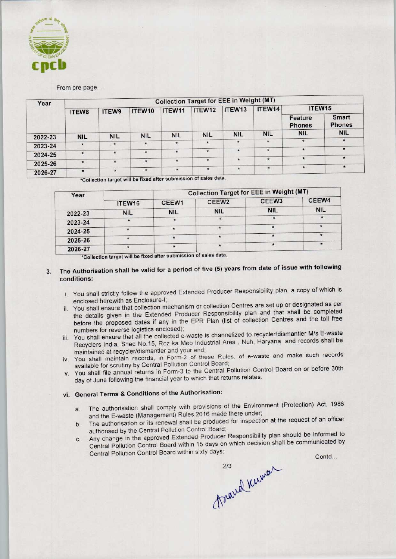

From pre page....

| Year    | <b>Collection Target for EEE in Weight (MT)</b> |            |            |            |            |            |            |                          |                        |  |  |
|---------|-------------------------------------------------|------------|------------|------------|------------|------------|------------|--------------------------|------------------------|--|--|
|         | ITEW8                                           | ITEW9      | ITEW10     | ITEW11     | ITEW12     | ITEW13     | ITEW14     | ITEW <sub>15</sub>       |                        |  |  |
|         |                                                 |            |            |            |            |            |            | Feature<br><b>Phones</b> | Smart<br><b>Phones</b> |  |  |
| 2022-23 | <b>NIL</b>                                      | <b>NIL</b> | <b>NIL</b> | <b>NIL</b> | <b>NIL</b> | <b>NIL</b> | <b>NIL</b> | <b>NIL</b>               | <b>NIL</b>             |  |  |
|         |                                                 |            |            | $\star$    | $\star$    | $\star$    | $\star$    | $\star$                  | $\star$                |  |  |
| 2023-24 | $\star$                                         | $\star$    | $\star$    |            |            |            |            |                          | $\star$                |  |  |
| 2024-25 | $\star$                                         | $\star$    | $\star$    | $\star$    | $\star$    | $\star$    | $\star$    | $\star$                  |                        |  |  |
|         |                                                 |            |            |            | $\star$    | $\star$    | $\star$    | $\star$                  | $\star$                |  |  |
| 2025-26 | $\star$                                         | $\star$    | $\star$    | $\star$    |            |            |            |                          |                        |  |  |
| 2026-27 | $\star$                                         | $\star$    | $\star$    | $\star$    | $\star$    | $\star$    | $\star$    | $\star$                  | $\star$                |  |  |

\*<br>\*Collection target will be fixed after submission of sales data

| Year    |            |            | <b>Collection Target for EEE in Weight (MT)</b> |                   |            |  |  |  |
|---------|------------|------------|-------------------------------------------------|-------------------|------------|--|--|--|
|         | ITEW16     | CEEW1      | CEEW <sub>2</sub>                               | CEEW <sub>3</sub> | CEEW4      |  |  |  |
| 2022-23 | <b>NIL</b> | <b>NIL</b> | <b>NIL</b>                                      | <b>NIL</b>        | <b>NIL</b> |  |  |  |
| 2023-24 |            |            |                                                 | $\star$           | $\star$    |  |  |  |
| 2024-25 |            | $\star$    |                                                 |                   |            |  |  |  |
| 2025-26 |            |            |                                                 |                   |            |  |  |  |
| 2026-27 |            | $\star$    |                                                 |                   |            |  |  |  |

2026-27<br>\*Collection target will be fixed after submission of sales data

## 3. The Authorisation shall be valid for a period of five (5) years from date of issue with following conditions:

- i. You shall strictly follow the approved Extended Producer Responsibility plan, a copy of which is enclosed herewith as Enclosure-I;
- ii. You shall ensure that collection mechanism or collection Centres are set up or designated as per the details given in the Extended Producer Responsibility plan and that shall be completed before the proposed dates if any in the EPR Plan (list of collection Centres and the toll free numbers for reverse logistics enclosed);
- iii. You shall ensure that all the collected e-waste is channelized to recycler/dismantler M/s E-waste Recyclers India, Shed No.15, Roz ka Meo Industrial Area , Nuh, Haryana and records shall be maintained at recycler/dismantler and your end;
- iv. You shall maintain records, in Form-2 of these Rules, of e-waste and make such records available for scrutiny by Central Pollution Control Board;
- v. You shall file annual returns in Form-3 to the Central Pollution Control Board on or before 30th day of June following the financial year to which that returns relates.

## vi. General Terms & Conditions of the Authorisation:

- a. The authorisation shall comply with provisions of the Environment (Protection) Act, 1986 and the E-waste (Management) Rules,2016 made there under;
- authorised by the Central Pollution Control Board;
- a. The authorisation shall comply with provisions of the Environment (Protection) Act, 1986<br>
and the E-waste (Management) Rules, 2016 made there under;<br>
b. The authorisation or its renewal shall be produced for inspection b. The authorisation or its renewal shall be produced for inspection at the requestion and authorised by the Central Pollution Control Board;<br>c. Any change in the approved Extended Producer Responsibility plan should be in Central Pollution Control Board within 15 days on which decision shall be communicated by The authorisation Control Board within 15 days on which desisting<br>Central Pole and all the collected e-waste is channelized to recycler<br>alies India, Sheal No.15, Roz ka Meo Industrial Area , Nuh, Hary<br>cannot are alied No.